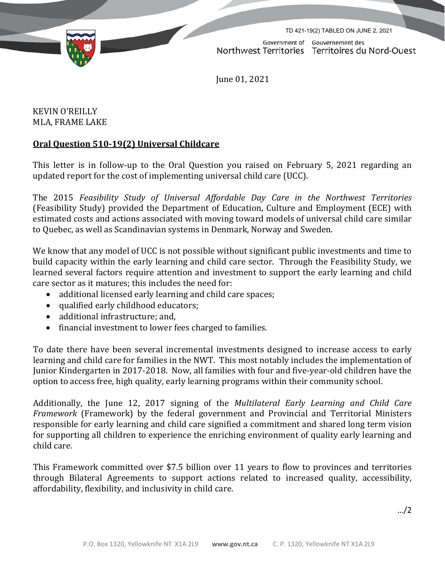

Government of Gouvernement des Northwest Territories Territoires du Nord-Ouest

June 01, 2021

KEVIN O'REILLY MLA, FRAME LAKE

## **Oral Question 510-19(2) Universal Childcare**

This letter is in follow-up to the Oral Question you raised on February 5, 2021 regarding an updated report for the cost of implementing universal child care (UCC).

The 2015 *Feasibility Study of Universal Affordable Day Care in the Northwest Territories* (Feasibility Study) provided the Department of Education, Culture and Employment (ECE) with estimated costs and actions associated with moving toward models of universal child care similar to Quebec, as well as Scandinavian systems in Denmark, Norway and Sweden.

We know that any model of UCC is not possible without significant public investments and time to build capacity within the early learning and child care sector. Through the Feasibility Study, we learned several factors require attention and investment to support the early learning and child care sector as it matures; this includes the need for:

- additional licensed early learning and child care spaces;
- qualified early childhood educators;
- additional infrastructure; and,
- financial investment to lower fees charged to families.

To date there have been several incremental investments designed to increase access to early learning and child care for families in the NWT. This most notably includes the implementation of Junior Kindergarten in 2017-2018. Now, all families with four and five-year-old children have the option to access free, high quality, early learning programs within their community school.

Additionally, the June 12, 2017 signing of the *Multilateral Early Learning and Child Care Framework* (Framework) by the federal government and Provincial and Territorial Ministers responsible for early learning and child care signified a commitment and shared long term vision for supporting all children to experience the enriching environment of quality early learning and child care.

This Framework committed over \$7.5 billion over 11 years to flow to provinces and territories through Bilateral Agreements to support actions related to increased quality, accessibility, affordability, flexibility, and inclusivity in child care.

…/2